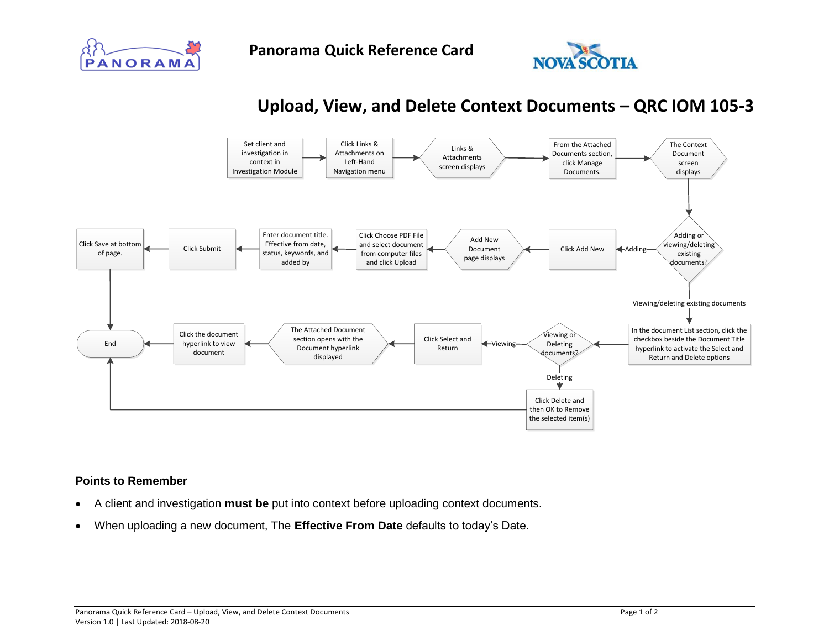



## **Upload, View, and Delete Context Documents – QRC IOM 105-3**



## **Points to Remember**

- A client and investigation **must be** put into context before uploading context documents.
- When uploading a new document, The **Effective From Date** defaults to today's Date.